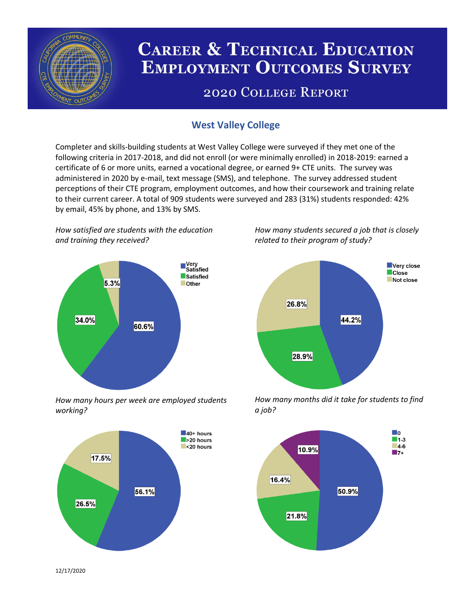

# **CAREER & TECHNICAL EDUCATION EMPLOYMENT OUTCOMES SURVEY**

## **2020 COLLEGE REPORT**

## **West Valley College**

Completer and skills-building students at West Valley College were surveyed if they met one of the following criteria in 2017-2018, and did not enroll (or were minimally enrolled) in 2018-2019: earned a certificate of 6 or more units, earned a vocational degree, or earned 9+ CTE units. The survey was administered in 2020 by e-mail, text message (SMS), and telephone. The survey addressed student perceptions of their CTE program, employment outcomes, and how their coursework and training relate to their current career. A total of 909 students were surveyed and 283 (31%) students responded: 42% by email, 45% by phone, and 13% by SMS.

*How satisfied are students with the education and training they received?*



*How many hours per week are employed students working?*



*How many students secured a job that is closely related to their program of study?*



*How many months did it take for students to find a job?*



12/17/2020